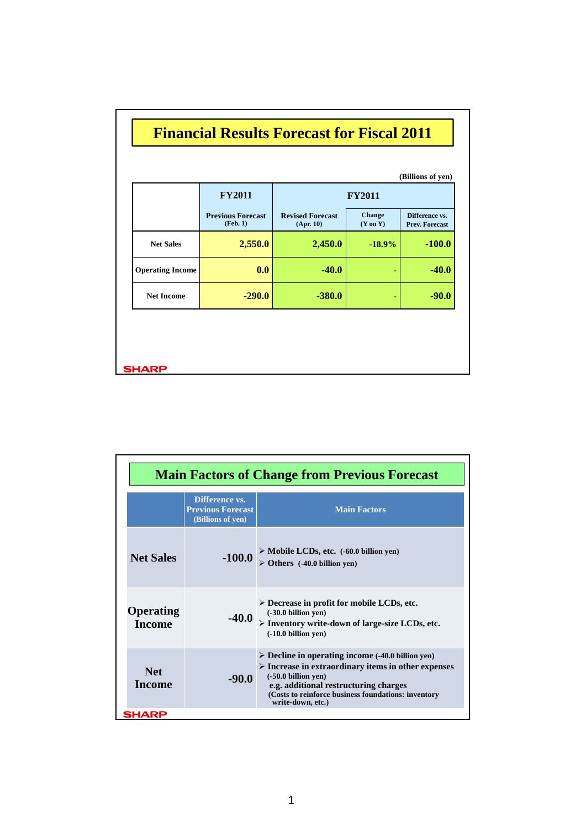|                         | <b>FY2011</b>                        | (Billions of yen)<br><b>FY2011</b>   |                                      |                                         |
|-------------------------|--------------------------------------|--------------------------------------|--------------------------------------|-----------------------------------------|
|                         | <b>Previous Forecast</b><br>(Feb. 1) | <b>Revised Forecast</b><br>(Apr. 10) | <b>Change</b><br>$(Y \text{ on } Y)$ | Difference vs.<br><b>Prev. Forecast</b> |
| <b>Net Sales</b>        | 2,550.0                              | 2,450.0                              | $-18.9%$                             | $-100.0$                                |
| <b>Operating Income</b> | 0.0                                  | $-40.0$                              | ٠                                    | $-40.0$                                 |
| <b>Net Income</b>       | $-290.0$                             | $-380.0$                             | ٠                                    | $-90.0$                                 |

| <b>Main Factors of Change from Previous Forecast</b> |                                                                 |                                                                                                                                                                                                                                                                                       |  |  |
|------------------------------------------------------|-----------------------------------------------------------------|---------------------------------------------------------------------------------------------------------------------------------------------------------------------------------------------------------------------------------------------------------------------------------------|--|--|
|                                                      | Difference vs.<br><b>Previous Forecast</b><br>(Billions of ven) | <b>Main Factors</b>                                                                                                                                                                                                                                                                   |  |  |
| <b>Net Sales</b>                                     | $-100.0$                                                        | > Mobile LCDs, etc. (-60.0 billion yen)<br>$\triangleright$ Others (-40.0 billion yen)                                                                                                                                                                                                |  |  |
| Operating<br><b>Income</b>                           | $-40.0$                                                         | $\triangleright$ Decrease in profit for mobile LCDs, etc.<br>$(-30.0)$ billion yen)<br>$\triangleright$ Inventory write-down of large-size LCDs, etc.<br>$(-10.0)$ billion yen)                                                                                                       |  |  |
| <b>Net</b><br><b>Income</b>                          | -90.0                                                           | $\triangleright$ Decline in operating income (-40.0 billion yen)<br>$\triangleright$ Increase in extraordinary items in other expenses<br>$(-50.0)$ billion yen)<br>e.g. additional restructuring charges<br>(Costs to reinforce business foundations: inventory<br>write-down, etc.) |  |  |
| SHARP                                                |                                                                 |                                                                                                                                                                                                                                                                                       |  |  |